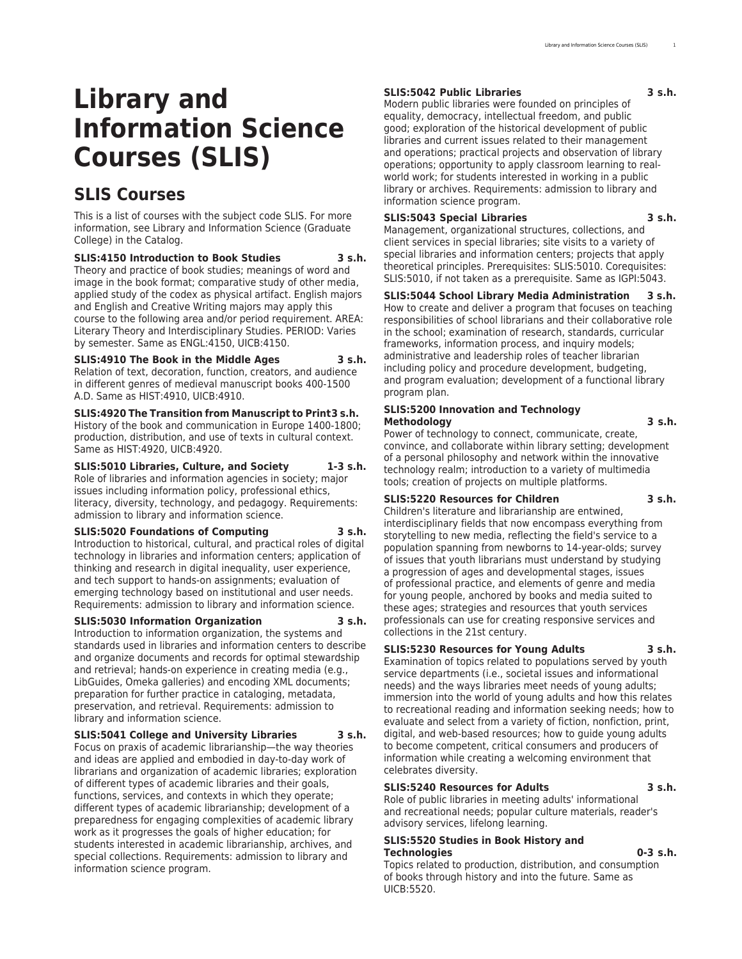# **Library and Information Science Courses (SLIS)**

## **SLIS Courses**

This is a list of courses with the subject code SLIS. For more information, see [Library and Information Science](http://catalog.registrar.uiowa.edu/graduate-college/library-information-science/) (Graduate College) in the Catalog.

**SLIS:4150 Introduction to Book Studies 3 s.h.** Theory and practice of book studies; meanings of word and image in the book format; comparative study of other media, applied study of the codex as physical artifact. English majors and English and Creative Writing majors may apply this course to the following area and/or period requirement. AREA: Literary Theory and Interdisciplinary Studies. PERIOD: Varies by semester. Same as ENGL:4150, UICB:4150.

**SLIS:4910 The Book in the Middle Ages 3 s.h.** Relation of text, decoration, function, creators, and audience in different genres of medieval manuscript books 400-1500 A.D. Same as HIST:4910, UICB:4910.

**SLIS:4920 The Transition from Manuscript to Print3 s.h.** History of the book and communication in Europe 1400-1800; production, distribution, and use of texts in cultural context. Same as HIST:4920, UICB:4920.

**SLIS:5010 Libraries, Culture, and Society 1-3 s.h.** Role of libraries and information agencies in society; major issues including information policy, professional ethics, literacy, diversity, technology, and pedagogy. Requirements: admission to library and information science.

#### **SLIS:5020 Foundations of Computing 3 s.h.**

Introduction to historical, cultural, and practical roles of digital technology in libraries and information centers; application of thinking and research in digital inequality, user experience, and tech support to hands-on assignments; evaluation of emerging technology based on institutional and user needs. Requirements: admission to library and information science.

#### **SLIS:5030 Information Organization 3 s.h.**

Introduction to information organization, the systems and standards used in libraries and information centers to describe and organize documents and records for optimal stewardship and retrieval; hands-on experience in creating media (e.g., LibGuides, Omeka galleries) and encoding XML documents; preparation for further practice in cataloging, metadata, preservation, and retrieval. Requirements: admission to library and information science.

#### **SLIS:5041 College and University Libraries 3 s.h.**

Focus on praxis of academic librarianship—the way theories and ideas are applied and embodied in day-to-day work of librarians and organization of academic libraries; exploration of different types of academic libraries and their goals, functions, services, and contexts in which they operate; different types of academic librarianship; development of a preparedness for engaging complexities of academic library work as it progresses the goals of higher education; for students interested in academic librarianship, archives, and special collections. Requirements: admission to library and information science program.

#### **SLIS:5042 Public Libraries 3 s.h.**

Modern public libraries were founded on principles of equality, democracy, intellectual freedom, and public good; exploration of the historical development of public libraries and current issues related to their management and operations; practical projects and observation of library operations; opportunity to apply classroom learning to realworld work; for students interested in working in a public library or archives. Requirements: admission to library and information science program.

#### **SLIS:5043 Special Libraries 3 s.h.**

Management, organizational structures, collections, and client services in special libraries; site visits to a variety of special libraries and information centers; projects that apply theoretical principles. Prerequisites: SLIS:5010. Corequisites: SLIS:5010, if not taken as a prerequisite. Same as IGPI:5043.

#### **SLIS:5044 School Library Media Administration 3 s.h.**

How to create and deliver a program that focuses on teaching responsibilities of school librarians and their collaborative role in the school; examination of research, standards, curricular frameworks, information process, and inquiry models; administrative and leadership roles of teacher librarian including policy and procedure development, budgeting, and program evaluation; development of a functional library program plan.

#### **SLIS:5200 Innovation and Technology Methodology 3 s.h.**

Power of technology to connect, communicate, create, convince, and collaborate within library setting; development of a personal philosophy and network within the innovative technology realm; introduction to a variety of multimedia tools; creation of projects on multiple platforms.

#### **SLIS:5220 Resources for Children 3 s.h.**

Children's literature and librarianship are entwined, interdisciplinary fields that now encompass everything from storytelling to new media, reflecting the field's service to a population spanning from newborns to 14-year-olds; survey of issues that youth librarians must understand by studying a progression of ages and developmental stages, issues of professional practice, and elements of genre and media for young people, anchored by books and media suited to these ages; strategies and resources that youth services professionals can use for creating responsive services and collections in the 21st century.

#### **SLIS:5230 Resources for Young Adults 3 s.h.**

Examination of topics related to populations served by youth service departments (i.e., societal issues and informational needs) and the ways libraries meet needs of young adults; immersion into the world of young adults and how this relates to recreational reading and information seeking needs; how to evaluate and select from a variety of fiction, nonfiction, print, digital, and web-based resources; how to guide young adults to become competent, critical consumers and producers of information while creating a welcoming environment that celebrates diversity.

#### **SLIS:5240 Resources for Adults 3 s.h.**

Role of public libraries in meeting adults' informational and recreational needs; popular culture materials, reader's advisory services, lifelong learning.

#### **SLIS:5520 Studies in Book History and Technologies 0-3 s.h.**

Topics related to production, distribution, and consumption of books through history and into the future. Same as UICB:5520.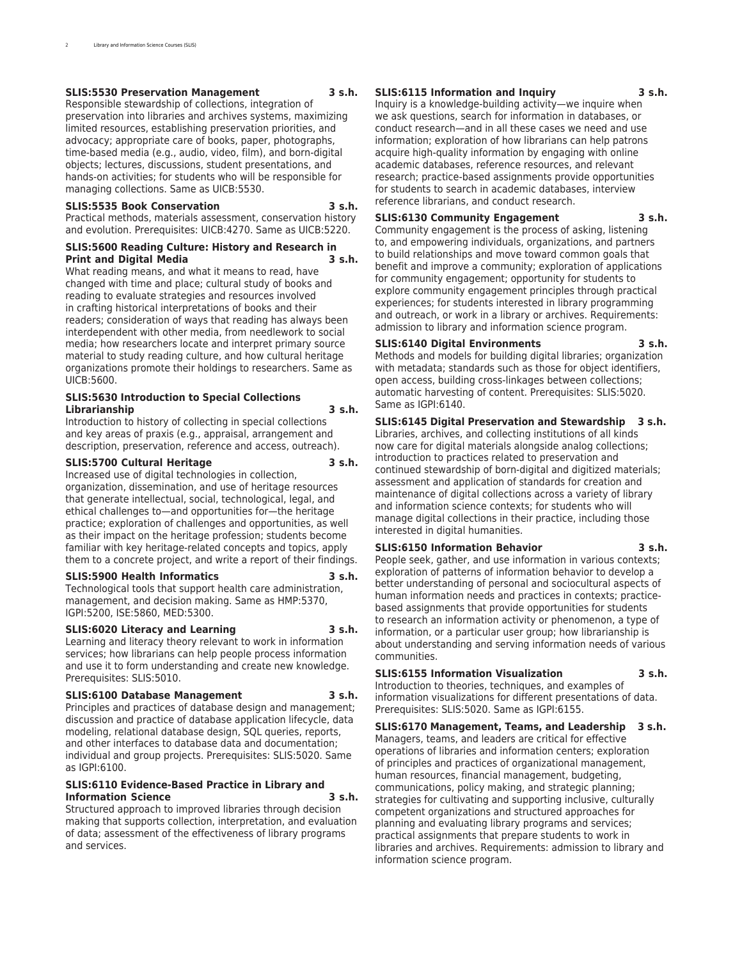#### **SLIS:5530 Preservation Management 3 s.h.**

Responsible stewardship of collections, integration of preservation into libraries and archives systems, maximizing limited resources, establishing preservation priorities, and advocacy; appropriate care of books, paper, photographs, time-based media (e.g., audio, video, film), and born-digital objects; lectures, discussions, student presentations, and hands-on activities; for students who will be responsible for managing collections. Same as UICB:5530.

#### **SLIS:5535 Book Conservation 3 s.h.**

Practical methods, materials assessment, conservation history and evolution. Prerequisites: UICB:4270. Same as UICB:5220.

#### **SLIS:5600 Reading Culture: History and Research in Print and Digital Media**

What reading means, and what it means to read, have changed with time and place; cultural study of books and reading to evaluate strategies and resources involved in crafting historical interpretations of books and their readers; consideration of ways that reading has always been interdependent with other media, from needlework to social media; how researchers locate and interpret primary source material to study reading culture, and how cultural heritage organizations promote their holdings to researchers. Same as UICB:5600.

#### **SLIS:5630 Introduction to Special Collections Librarianship 3 s.h.**

Introduction to history of collecting in special collections and key areas of praxis (e.g., appraisal, arrangement and description, preservation, reference and access, outreach).

#### **SLIS:5700 Cultural Heritage 3 s.h.**

Increased use of digital technologies in collection, organization, dissemination, and use of heritage resources that generate intellectual, social, technological, legal, and ethical challenges to—and opportunities for—the heritage practice; exploration of challenges and opportunities, as well as their impact on the heritage profession; students become familiar with key heritage-related concepts and topics, apply them to a concrete project, and write a report of their findings.

#### **SLIS:5900 Health Informatics 3 s.h.**

Technological tools that support health care administration, management, and decision making. Same as HMP:5370, IGPI:5200, ISE:5860, MED:5300.

#### **SLIS:6020 Literacy and Learning 3 s.h.**

Learning and literacy theory relevant to work in information services; how librarians can help people process information and use it to form understanding and create new knowledge. Prerequisites: SLIS:5010.

#### **SLIS:6100 Database Management 3 s.h.**

Principles and practices of database design and management; discussion and practice of database application lifecycle, data modeling, relational database design, SQL queries, reports, and other interfaces to database data and documentation; individual and group projects. Prerequisites: SLIS:5020. Same as IGPI:6100.

#### **SLIS:6110 Evidence-Based Practice in Library and Information Science 3 s.h.**

Structured approach to improved libraries through decision making that supports collection, interpretation, and evaluation of data; assessment of the effectiveness of library programs and services.

#### **SLIS:6115 Information and Inquiry 3 s.h.**

Inquiry is a knowledge-building activity—we inquire when we ask questions, search for information in databases, or conduct research—and in all these cases we need and use information; exploration of how librarians can help patrons acquire high-quality information by engaging with online academic databases, reference resources, and relevant research; practice-based assignments provide opportunities for students to search in academic databases, interview reference librarians, and conduct research.

#### **SLIS:6130 Community Engagement 3 s.h.**

Community engagement is the process of asking, listening to, and empowering individuals, organizations, and partners to build relationships and move toward common goals that benefit and improve a community; exploration of applications for community engagement; opportunity for students to explore community engagement principles through practical experiences; for students interested in library programming and outreach, or work in a library or archives. Requirements: admission to library and information science program.

#### **SLIS:6140 Digital Environments 3 s.h.**

Methods and models for building digital libraries; organization with metadata; standards such as those for object identifiers, open access, building cross-linkages between collections; automatic harvesting of content. Prerequisites: SLIS:5020. Same as IGPI:6140.

**SLIS:6145 Digital Preservation and Stewardship 3 s.h.**

Libraries, archives, and collecting institutions of all kinds now care for digital materials alongside analog collections; introduction to practices related to preservation and continued stewardship of born-digital and digitized materials; assessment and application of standards for creation and maintenance of digital collections across a variety of library and information science contexts; for students who will manage digital collections in their practice, including those interested in digital humanities.

#### **SLIS:6150 Information Behavior 3 s.h.**

People seek, gather, and use information in various contexts; exploration of patterns of information behavior to develop a better understanding of personal and sociocultural aspects of human information needs and practices in contexts; practicebased assignments that provide opportunities for students to research an information activity or phenomenon, a type of information, or a particular user group; how librarianship is about understanding and serving information needs of various communities.

#### **SLIS:6155 Information Visualization 3 s.h.**

Introduction to theories, techniques, and examples of information visualizations for different presentations of data. Prerequisites: SLIS:5020. Same as IGPI:6155.

**SLIS:6170 Management, Teams, and Leadership 3 s.h.** Managers, teams, and leaders are critical for effective operations of libraries and information centers; exploration of principles and practices of organizational management, human resources, financial management, budgeting, communications, policy making, and strategic planning; strategies for cultivating and supporting inclusive, culturally competent organizations and structured approaches for planning and evaluating library programs and services; practical assignments that prepare students to work in libraries and archives. Requirements: admission to library and information science program.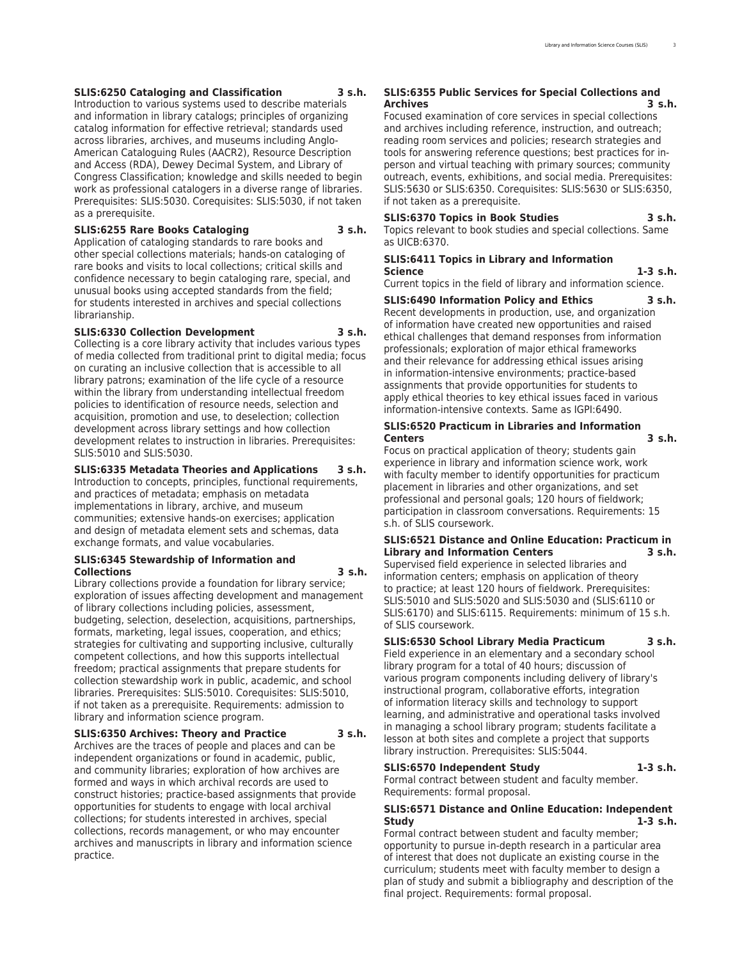#### **SLIS:6250 Cataloging and Classification 3 s.h.**

Introduction to various systems used to describe materials and information in library catalogs; principles of organizing catalog information for effective retrieval; standards used across libraries, archives, and museums including Anglo-American Cataloguing Rules (AACR2), Resource Description and Access (RDA), Dewey Decimal System, and Library of Congress Classification; knowledge and skills needed to begin work as professional catalogers in a diverse range of libraries. Prerequisites: SLIS:5030. Corequisites: SLIS:5030, if not taken as a prerequisite.

#### **SLIS:6255 Rare Books Cataloging 3 s.h.**

Application of cataloging standards to rare books and other special collections materials; hands-on cataloging of rare books and visits to local collections; critical skills and confidence necessary to begin cataloging rare, special, and unusual books using accepted standards from the field; for students interested in archives and special collections librarianship.

#### **SLIS:6330 Collection Development 3 s.h.**

Collecting is a core library activity that includes various types of media collected from traditional print to digital media; focus on curating an inclusive collection that is accessible to all library patrons; examination of the life cycle of a resource within the library from understanding intellectual freedom policies to identification of resource needs, selection and acquisition, promotion and use, to deselection; collection development across library settings and how collection development relates to instruction in libraries. Prerequisites: SLIS:5010 and SLIS:5030.

#### **SLIS:6335 Metadata Theories and Applications 3 s.h.**

Introduction to concepts, principles, functional requirements, and practices of metadata; emphasis on metadata implementations in library, archive, and museum communities; extensive hands-on exercises; application and design of metadata element sets and schemas, data exchange formats, and value vocabularies.

#### **SLIS:6345 Stewardship of Information and Collections 3 s.h.**

Library collections provide a foundation for library service; exploration of issues affecting development and management of library collections including policies, assessment, budgeting, selection, deselection, acquisitions, partnerships, formats, marketing, legal issues, cooperation, and ethics; strategies for cultivating and supporting inclusive, culturally competent collections, and how this supports intellectual freedom; practical assignments that prepare students for collection stewardship work in public, academic, and school libraries. Prerequisites: SLIS:5010. Corequisites: SLIS:5010, if not taken as a prerequisite. Requirements: admission to library and information science program.

#### **SLIS:6350 Archives: Theory and Practice 3 s.h.**

Archives are the traces of people and places and can be independent organizations or found in academic, public, and community libraries; exploration of how archives are formed and ways in which archival records are used to construct histories; practice-based assignments that provide opportunities for students to engage with local archival collections; for students interested in archives, special collections, records management, or who may encounter archives and manuscripts in library and information science practice.

#### **SLIS:6355 Public Services for Special Collections and Archives 3 s.h.**

Focused examination of core services in special collections and archives including reference, instruction, and outreach; reading room services and policies; research strategies and tools for answering reference questions; best practices for inperson and virtual teaching with primary sources; community outreach, events, exhibitions, and social media. Prerequisites: SLIS:5630 or SLIS:6350. Corequisites: SLIS:5630 or SLIS:6350, if not taken as a prerequisite.

#### **SLIS:6370 Topics in Book Studies 3 s.h.**

Topics relevant to book studies and special collections. Same as UICB:6370.

#### **SLIS:6411 Topics in Library and Information Science 1-3 s.h.**

Current topics in the field of library and information science.

#### **SLIS:6490 Information Policy and Ethics 3 s.h.** Recent developments in production, use, and organization of information have created new opportunities and raised ethical challenges that demand responses from information professionals; exploration of major ethical frameworks and their relevance for addressing ethical issues arising in information-intensive environments; practice-based assignments that provide opportunities for students to apply ethical theories to key ethical issues faced in various information-intensive contexts. Same as IGPI:6490.

#### **SLIS:6520 Practicum in Libraries and Information Centers 3 s.h.**

Focus on practical application of theory; students gain experience in library and information science work, work with faculty member to identify opportunities for practicum placement in libraries and other organizations, and set professional and personal goals; 120 hours of fieldwork; participation in classroom conversations. Requirements: 15 s.h. of SLIS coursework.

#### **SLIS:6521 Distance and Online Education: Practicum in Library and Information Centers 3 s.h.**

Supervised field experience in selected libraries and information centers; emphasis on application of theory to practice; at least 120 hours of fieldwork. Prerequisites: SLIS:5010 and SLIS:5020 and SLIS:5030 and (SLIS:6110 or SLIS:6170) and SLIS:6115. Requirements: minimum of 15 s.h. of SLIS coursework.

#### **SLIS:6530 School Library Media Practicum 3 s.h.**

Field experience in an elementary and a secondary school library program for a total of 40 hours; discussion of various program components including delivery of library's instructional program, collaborative efforts, integration of information literacy skills and technology to support learning, and administrative and operational tasks involved in managing a school library program; students facilitate a lesson at both sites and complete a project that supports library instruction. Prerequisites: SLIS:5044.

#### **SLIS:6570 Independent Study 1-3 s.h.**

Formal contract between student and faculty member. Requirements: formal proposal.

#### **SLIS:6571 Distance and Online Education: Independent Study 1-3 s.h.**

Formal contract between student and faculty member; opportunity to pursue in-depth research in a particular area of interest that does not duplicate an existing course in the curriculum; students meet with faculty member to design a plan of study and submit a bibliography and description of the final project. Requirements: formal proposal.